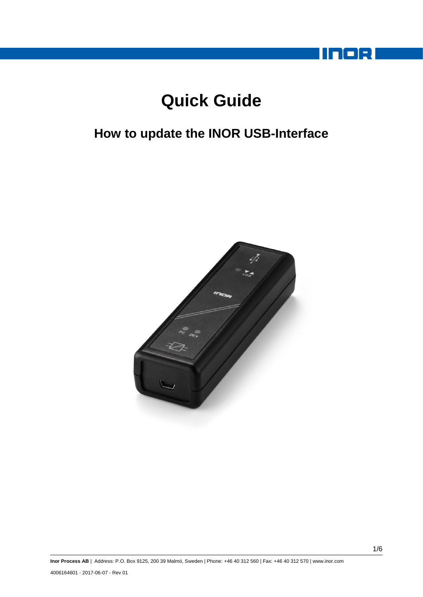

# **Quick Guide**

## **How to update the INOR USB-Interface**

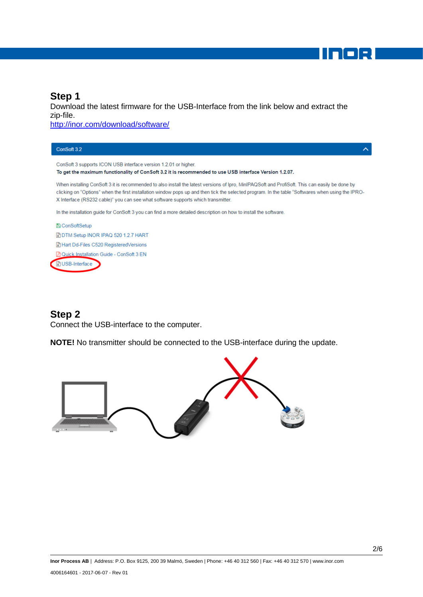## **Step 1**

Download the latest firmware for the USB-Interface from the link below and extract the zip-file.

<http://inor.com/download/software/>

| ConSoft 3.2                                                                                                                                                                                                                                                                                                                                                                             | ᄉ |
|-----------------------------------------------------------------------------------------------------------------------------------------------------------------------------------------------------------------------------------------------------------------------------------------------------------------------------------------------------------------------------------------|---|
| ConSoft 3 supports ICON USB interface version 1.2.01 or higher.                                                                                                                                                                                                                                                                                                                         |   |
| To get the maximum functionality of ConSoft 3.2 it is recommended to use USB interface Version 1.2.07.                                                                                                                                                                                                                                                                                  |   |
| When installing ConSoft 3 it is recommended to also install the latest versions of Ipro, MinIPAQSoft and ProfiSoft. This can easily be done by<br>clicking on "Options" when the first installation window pops up and then tick the selected program. In the table "Softwares when using the IPRO-<br>X Interface (RS232 cable)" you can see what software supports which transmitter. |   |
| In the installation quide for ConSoft 3 you can find a more detailed description on how to install the software.                                                                                                                                                                                                                                                                        |   |
| <b>图 ConSoftSetup</b>                                                                                                                                                                                                                                                                                                                                                                   |   |
| <b>DIM Setup INOR IPAQ 520 1.2.7 HART</b>                                                                                                                                                                                                                                                                                                                                               |   |
| Hart Dd-Files C520 Registered Versions                                                                                                                                                                                                                                                                                                                                                  |   |
| <b>A Quick Installation Guide - ConSoft 3 EN</b>                                                                                                                                                                                                                                                                                                                                        |   |
| <b>IN USB-Interface</b>                                                                                                                                                                                                                                                                                                                                                                 |   |

#### **Step 2**

Connect the USB-interface to the computer.

**NOTE!** No transmitter should be connected to the USB-interface during the update.



noel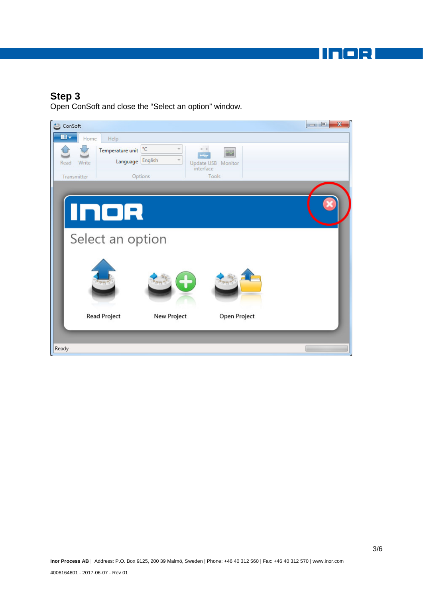m - 1

#### **Step 3**

Open ConSoft and close the "Select an option" window.

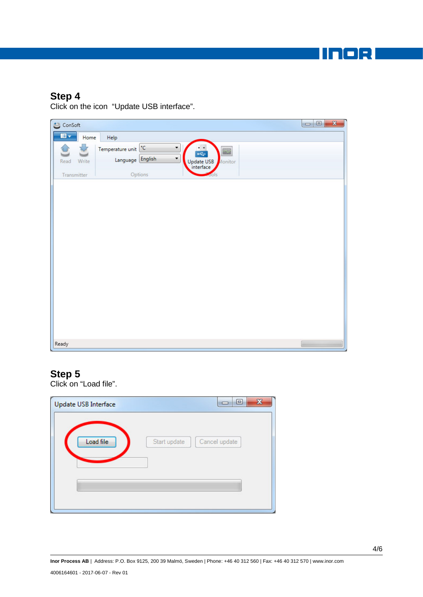noo H

#### **Step 4**

Click on the icon "Update USB interface".



#### **Step 5**

Click on "Load file".

| Update USB Interface | 回                             | $\boldsymbol{\Sigma}$ |
|----------------------|-------------------------------|-----------------------|
| Load file            | Start update<br>Cancel update |                       |
|                      |                               |                       |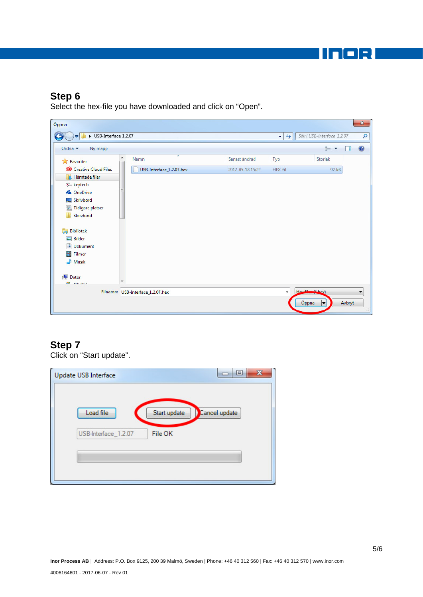INOR

## **Step 6**

Select the hex-file you have downloaded and click on "Open".

| Öppna                                     |   |                                   |                  |                        |                            | $\mathbf{x}$ |
|-------------------------------------------|---|-----------------------------------|------------------|------------------------|----------------------------|--------------|
| USB-Interface_1.2.07                      |   |                                   |                  | $\ast_{\uparrow}$<br>٠ | Sök i USB-Interface_1.2.07 | ٩            |
| Ordna v<br>Ny mapp                        |   |                                   |                  |                        | <b>距</b><br>ΠI             | 0            |
| <b>X</b> Favoriter                        | ۸ | -<br>Namn                         | Senast ändrad    | Typ                    | Storlek                    |              |
| Creative Cloud Files                      |   | USB-Interface_1.2.07.hex          | 2017-05-18 15:22 | HEX-fil                | 92 kB                      |              |
| <b>A</b> Hämtade filer                    |   |                                   |                  |                        |                            |              |
| <b>デ</b> keytech                          | Ξ |                                   |                  |                        |                            |              |
| <b>&amp;</b> OneDrive<br>Skrivbord<br>a a |   |                                   |                  |                        |                            |              |
| 盟<br>Tidigare platser                     |   |                                   |                  |                        |                            |              |
| Skrivbord                                 |   |                                   |                  |                        |                            |              |
|                                           |   |                                   |                  |                        |                            |              |
| 高<br><b>Bibliotek</b>                     |   |                                   |                  |                        |                            |              |
| Bilder<br>$\overline{\phantom{0}}$        |   |                                   |                  |                        |                            |              |
| 귘<br>Dokument                             |   |                                   |                  |                        |                            |              |
| Ħ<br>Filmer                               |   |                                   |                  |                        |                            |              |
| Musik                                     |   |                                   |                  |                        |                            |              |
| $\mathbf{r}$<br>Dator                     |   |                                   |                  |                        |                            |              |
| <b>BI</b> neies                           |   |                                   |                  |                        |                            |              |
|                                           |   | Filnamn: USB-Interface_1.2.07.hex |                  | $\cdot$                | $Hew$ $Gh$ $(xh)ex$        |              |
|                                           |   |                                   |                  |                        | $\bar{O}$ ppna<br>Avbryt   |              |
|                                           |   |                                   |                  |                        |                            |              |

## **Step 7**

Click on "Start update".

| <b>Update USB Interface</b> | ▣<br>▭                        | $\mathbf{x}$ |
|-----------------------------|-------------------------------|--------------|
| Load file                   | Cancel update<br>Start update |              |
| USB-Interface_1.2.07        | File OK                       |              |
|                             |                               |              |